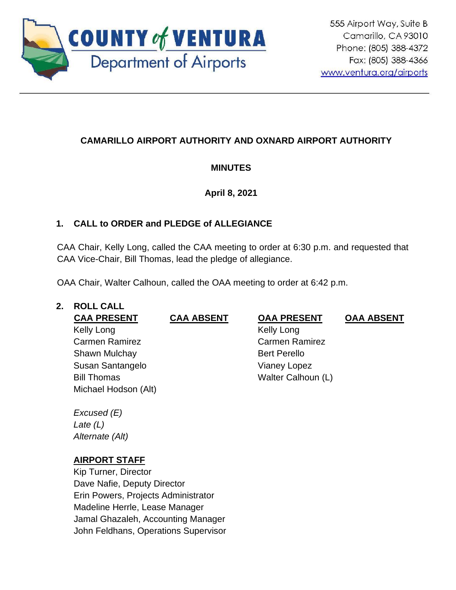

# **CAMARILLO AIRPORT AUTHORITY AND OXNARD AIRPORT AUTHORITY**

# **MINUTES**

# **April 8, 2021**

# **1. CALL to ORDER and PLEDGE of ALLEGIANCE**

CAA Chair, Kelly Long, called the CAA meeting to order at 6:30 p.m. and requested that CAA Vice-Chair, Bill Thomas, lead the pledge of allegiance.

OAA Chair, Walter Calhoun, called the OAA meeting to order at 6:42 p.m.

# **2. ROLL CALL**

**CAA PRESENT CAA ABSENT OAA PRESENT OAA ABSENT**

Kelly Long Carmen Ramirez Shawn Mulchay **Bert Perello** Susan Santangelo Vianey Lopez Bill Thomas Walter Calhoun (L) Michael Hodson (Alt)

*Excused (E) Late (L) Alternate (Alt)*

# **AIRPORT STAFF**

Kip Turner, Director Dave Nafie, Deputy Director Erin Powers, Projects Administrator Madeline Herrle, Lease Manager Jamal Ghazaleh, Accounting Manager John Feldhans, Operations Supervisor

 Kelly Long Carmen Ramirez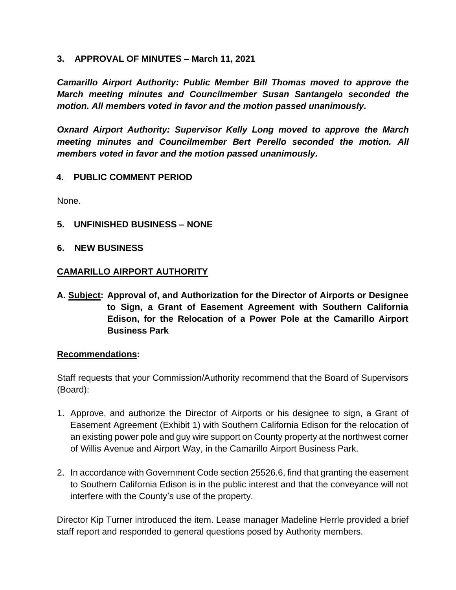#### **3. APPROVAL OF MINUTES – March 11, 2021**

*Camarillo Airport Authority: Public Member Bill Thomas moved to approve the March meeting minutes and Councilmember Susan Santangelo seconded the motion. All members voted in favor and the motion passed unanimously.* 

*Oxnard Airport Authority: Supervisor Kelly Long moved to approve the March meeting minutes and Councilmember Bert Perello seconded the motion. All members voted in favor and the motion passed unanimously.*

## **4. PUBLIC COMMENT PERIOD**

None.

- **5. UNFINISHED BUSINESS – NONE**
- **6. NEW BUSINESS**

#### **CAMARILLO AIRPORT AUTHORITY**

**A. Subject: Approval of, and Authorization for the Director of Airports or Designee to Sign, a Grant of Easement Agreement with Southern California Edison, for the Relocation of a Power Pole at the Camarillo Airport Business Park**

#### **Recommendations:**

Staff requests that your Commission/Authority recommend that the Board of Supervisors (Board):

- 1. Approve, and authorize the Director of Airports or his designee to sign, a Grant of Easement Agreement (Exhibit 1) with Southern California Edison for the relocation of an existing power pole and guy wire support on County property at the northwest corner of Willis Avenue and Airport Way, in the Camarillo Airport Business Park.
- 2. In accordance with Government Code section 25526.6, find that granting the easement to Southern California Edison is in the public interest and that the conveyance will not interfere with the County's use of the property.

Director Kip Turner introduced the item. Lease manager Madeline Herrle provided a brief staff report and responded to general questions posed by Authority members.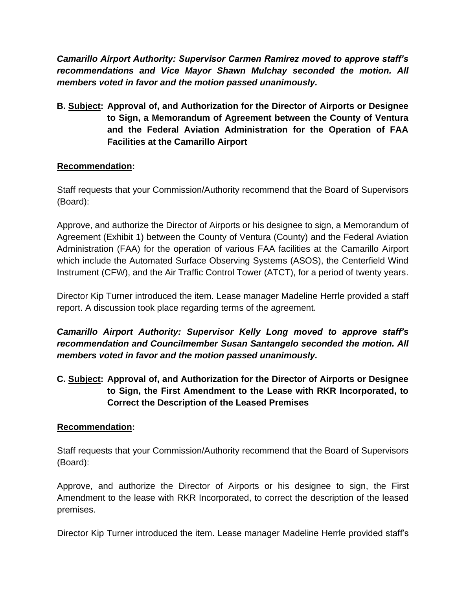*Camarillo Airport Authority: Supervisor Carmen Ramirez moved to approve staff's recommendations and Vice Mayor Shawn Mulchay seconded the motion. All members voted in favor and the motion passed unanimously.* 

**B. Subject: Approval of, and Authorization for the Director of Airports or Designee to Sign, a Memorandum of Agreement between the County of Ventura and the Federal Aviation Administration for the Operation of FAA Facilities at the Camarillo Airport**

#### **Recommendation:**

Staff requests that your Commission/Authority recommend that the Board of Supervisors (Board):

Approve, and authorize the Director of Airports or his designee to sign, a Memorandum of Agreement (Exhibit 1) between the County of Ventura (County) and the Federal Aviation Administration (FAA) for the operation of various FAA facilities at the Camarillo Airport which include the Automated Surface Observing Systems (ASOS), the Centerfield Wind Instrument (CFW), and the Air Traffic Control Tower (ATCT), for a period of twenty years.

Director Kip Turner introduced the item. Lease manager Madeline Herrle provided a staff report. A discussion took place regarding terms of the agreement.

*Camarillo Airport Authority: Supervisor Kelly Long moved to approve staff's recommendation and Councilmember Susan Santangelo seconded the motion. All members voted in favor and the motion passed unanimously.* 

**C. Subject: Approval of, and Authorization for the Director of Airports or Designee to Sign, the First Amendment to the Lease with RKR Incorporated, to Correct the Description of the Leased Premises**

## **Recommendation:**

Staff requests that your Commission/Authority recommend that the Board of Supervisors (Board):

Approve, and authorize the Director of Airports or his designee to sign, the First Amendment to the lease with RKR Incorporated, to correct the description of the leased premises.

Director Kip Turner introduced the item. Lease manager Madeline Herrle provided staff's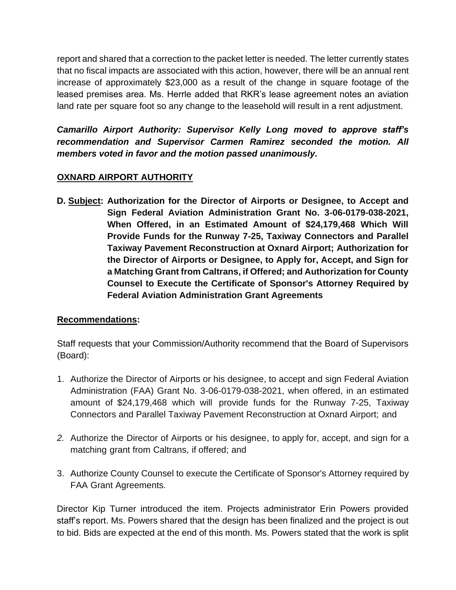report and shared that a correction to the packet letter is needed. The letter currently states that no fiscal impacts are associated with this action, however, there will be an annual rent increase of approximately \$23,000 as a result of the change in square footage of the leased premises area. Ms. Herrle added that RKR's lease agreement notes an aviation land rate per square foot so any change to the leasehold will result in a rent adjustment.

*Camarillo Airport Authority: Supervisor Kelly Long moved to approve staff's recommendation and Supervisor Carmen Ramirez seconded the motion. All members voted in favor and the motion passed unanimously.* 

## **OXNARD AIRPORT AUTHORITY**

**D. Subject: Authorization for the Director of Airports or Designee, to Accept and Sign Federal Aviation Administration Grant No. 3-06-0179-038-2021, When Offered, in an Estimated Amount of \$24,179,468 Which Will Provide Funds for the Runway 7-25, Taxiway Connectors and Parallel Taxiway Pavement Reconstruction at Oxnard Airport; Authorization for the Director of Airports or Designee, to Apply for, Accept, and Sign for a Matching Grant from Caltrans, if Offered; and Authorization for County Counsel to Execute the Certificate of Sponsor's Attorney Required by Federal Aviation Administration Grant Agreements**

## **Recommendations:**

Staff requests that your Commission/Authority recommend that the Board of Supervisors (Board):

- 1. Authorize the Director of Airports or his designee, to accept and sign Federal Aviation Administration (FAA) Grant No. 3-06-0179-038-2021, when offered, in an estimated amount of \$24,179,468 which will provide funds for the Runway 7-25, Taxiway Connectors and Parallel Taxiway Pavement Reconstruction at Oxnard Airport; and
- *2.* Authorize the Director of Airports or his designee, to apply for, accept, and sign for a matching grant from Caltrans, if offered; and
- 3. Authorize County Counsel to execute the Certificate of Sponsor's Attorney required by FAA Grant Agreements.

Director Kip Turner introduced the item. Projects administrator Erin Powers provided staff's report. Ms. Powers shared that the design has been finalized and the project is out to bid. Bids are expected at the end of this month. Ms. Powers stated that the work is split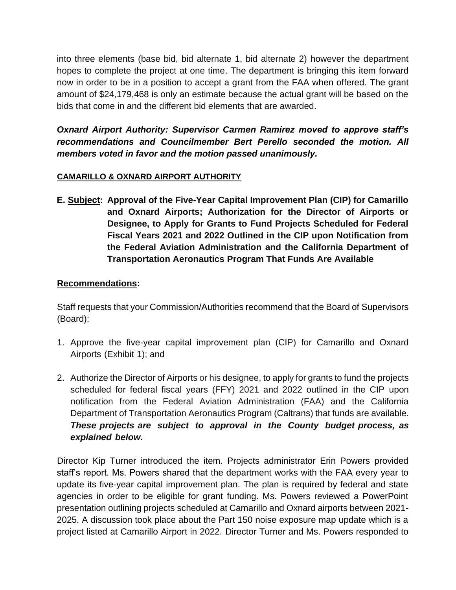into three elements (base bid, bid alternate 1, bid alternate 2) however the department hopes to complete the project at one time. The department is bringing this item forward now in order to be in a position to accept a grant from the FAA when offered. The grant amount of \$24,179,468 is only an estimate because the actual grant will be based on the bids that come in and the different bid elements that are awarded.

*Oxnard Airport Authority: Supervisor Carmen Ramirez moved to approve staff's recommendations and Councilmember Bert Perello seconded the motion. All members voted in favor and the motion passed unanimously.* 

## **CAMARILLO & OXNARD AIRPORT AUTHORITY**

**E. Subject: Approval of the Five-Year Capital Improvement Plan (CIP) for Camarillo and Oxnard Airports; Authorization for the Director of Airports or Designee, to Apply for Grants to Fund Projects Scheduled for Federal Fiscal Years 2021 and 2022 Outlined in the CIP upon Notification from the Federal Aviation Administration and the California Department of Transportation Aeronautics Program That Funds Are Available**

## **Recommendations:**

Staff requests that your Commission/Authorities recommend that the Board of Supervisors (Board):

- 1. Approve the five-year capital improvement plan (CIP) for Camarillo and Oxnard Airports (Exhibit 1); and
- 2. Authorize the Director of Airports or his designee, to apply for grants to fund the projects scheduled for federal fiscal years (FFY) 2021 and 2022 outlined in the CIP upon notification from the Federal Aviation Administration (FAA) and the California Department of Transportation Aeronautics Program (Caltrans) that funds are available. *These projects are subject to approval in the County budget process, as explained below.*

Director Kip Turner introduced the item. Projects administrator Erin Powers provided staff's report. Ms. Powers shared that the department works with the FAA every year to update its five-year capital improvement plan. The plan is required by federal and state agencies in order to be eligible for grant funding. Ms. Powers reviewed a PowerPoint presentation outlining projects scheduled at Camarillo and Oxnard airports between 2021- 2025. A discussion took place about the Part 150 noise exposure map update which is a project listed at Camarillo Airport in 2022. Director Turner and Ms. Powers responded to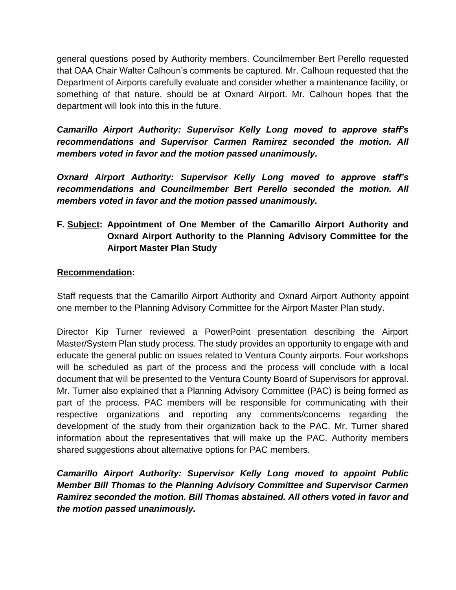general questions posed by Authority members. Councilmember Bert Perello requested that OAA Chair Walter Calhoun's comments be captured. Mr. Calhoun requested that the Department of Airports carefully evaluate and consider whether a maintenance facility, or something of that nature, should be at Oxnard Airport. Mr. Calhoun hopes that the department will look into this in the future.

*Camarillo Airport Authority: Supervisor Kelly Long moved to approve staff's recommendations and Supervisor Carmen Ramirez seconded the motion. All members voted in favor and the motion passed unanimously.* 

*Oxnard Airport Authority: Supervisor Kelly Long moved to approve staff's recommendations and Councilmember Bert Perello seconded the motion. All members voted in favor and the motion passed unanimously.* 

# **F. Subject: Appointment of One Member of the Camarillo Airport Authority and Oxnard Airport Authority to the Planning Advisory Committee for the Airport Master Plan Study**

## **Recommendation:**

Staff requests that the Camarillo Airport Authority and Oxnard Airport Authority appoint one member to the Planning Advisory Committee for the Airport Master Plan study.

Director Kip Turner reviewed a PowerPoint presentation describing the Airport Master/System Plan study process. The study provides an opportunity to engage with and educate the general public on issues related to Ventura County airports. Four workshops will be scheduled as part of the process and the process will conclude with a local document that will be presented to the Ventura County Board of Supervisors for approval. Mr. Turner also explained that a Planning Advisory Committee (PAC) is being formed as part of the process. PAC members will be responsible for communicating with their respective organizations and reporting any comments/concerns regarding the development of the study from their organization back to the PAC. Mr. Turner shared information about the representatives that will make up the PAC. Authority members shared suggestions about alternative options for PAC members.

*Camarillo Airport Authority: Supervisor Kelly Long moved to appoint Public Member Bill Thomas to the Planning Advisory Committee and Supervisor Carmen Ramirez seconded the motion. Bill Thomas abstained. All others voted in favor and the motion passed unanimously.*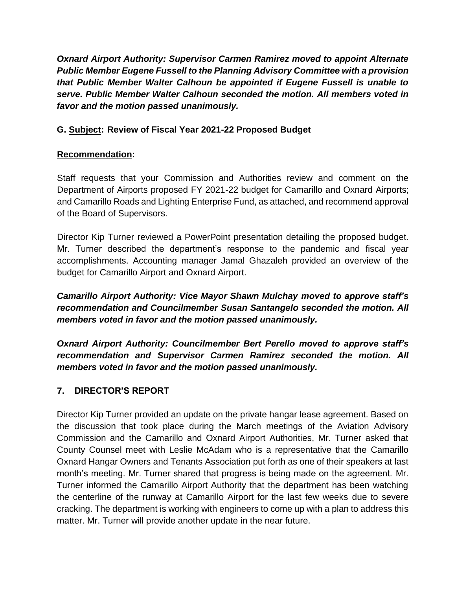*Oxnard Airport Authority: Supervisor Carmen Ramirez moved to appoint Alternate Public Member Eugene Fussell to the Planning Advisory Committee with a provision that Public Member Walter Calhoun be appointed if Eugene Fussell is unable to serve. Public Member Walter Calhoun seconded the motion. All members voted in favor and the motion passed unanimously.*

## **G. Subject: Review of Fiscal Year 2021-22 Proposed Budget**

## **Recommendation:**

Staff requests that your Commission and Authorities review and comment on the Department of Airports proposed FY 2021-22 budget for Camarillo and Oxnard Airports; and Camarillo Roads and Lighting Enterprise Fund, as attached, and recommend approval of the Board of Supervisors.

Director Kip Turner reviewed a PowerPoint presentation detailing the proposed budget. Mr. Turner described the department's response to the pandemic and fiscal year accomplishments. Accounting manager Jamal Ghazaleh provided an overview of the budget for Camarillo Airport and Oxnard Airport.

*Camarillo Airport Authority: Vice Mayor Shawn Mulchay moved to approve staff's recommendation and Councilmember Susan Santangelo seconded the motion. All members voted in favor and the motion passed unanimously.* 

*Oxnard Airport Authority: Councilmember Bert Perello moved to approve staff's recommendation and Supervisor Carmen Ramirez seconded the motion. All members voted in favor and the motion passed unanimously.* 

# **7. DIRECTOR'S REPORT**

Director Kip Turner provided an update on the private hangar lease agreement. Based on the discussion that took place during the March meetings of the Aviation Advisory Commission and the Camarillo and Oxnard Airport Authorities, Mr. Turner asked that County Counsel meet with Leslie McAdam who is a representative that the Camarillo Oxnard Hangar Owners and Tenants Association put forth as one of their speakers at last month's meeting. Mr. Turner shared that progress is being made on the agreement. Mr. Turner informed the Camarillo Airport Authority that the department has been watching the centerline of the runway at Camarillo Airport for the last few weeks due to severe cracking. The department is working with engineers to come up with a plan to address this matter. Mr. Turner will provide another update in the near future.